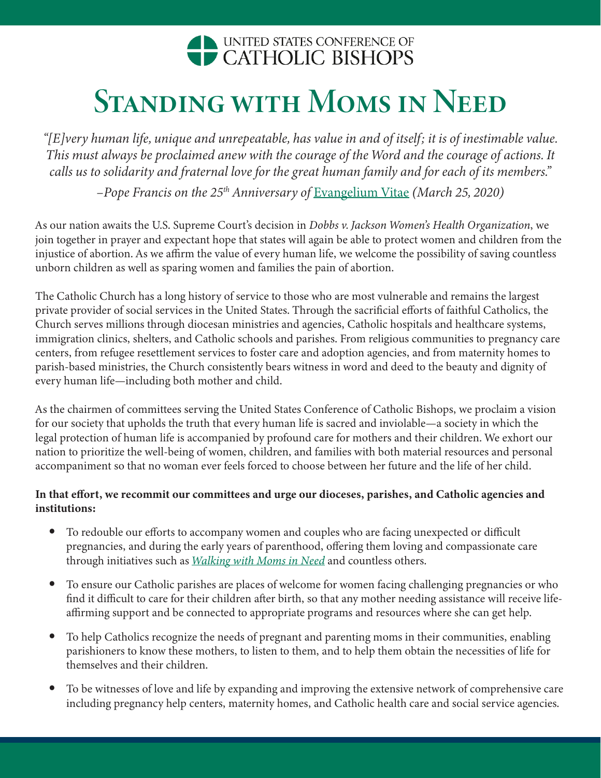# UNITED STATES CONFERENCE OF CATHOLIC BISHOPS

# Standing with Moms in Need

*"[E]very human life, unique and unrepeatable, has value in and of itself; it is of inestimable value. This must always be proclaimed anew with the courage of the Word and the courage of actions. It calls us to solidarity and fraternal love for the great human family and for each of its members."* 

*–Pope Francis on the 25th Anniversary of* [Evangelium Vitae](https://www.vatican.va/content/john-paul-ii/en/encyclicals/documents/hf_jp-ii_enc_25031995_evangelium-vitae.html) *(March 25, 2020)*

As our nation awaits the U.S. Supreme Court's decision in *Dobbs v. Jackson Women's Health Organization*, we join together in prayer and expectant hope that states will again be able to protect women and children from the injustice of abortion. As we affirm the value of every human life, we welcome the possibility of saving countless unborn children as well as sparing women and families the pain of abortion.

The Catholic Church has a long history of service to those who are most vulnerable and remains the largest private provider of social services in the United States. Through the sacrificial efforts of faithful Catholics, the Church serves millions through diocesan ministries and agencies, Catholic hospitals and healthcare systems, immigration clinics, shelters, and Catholic schools and parishes. From religious communities to pregnancy care centers, from refugee resettlement services to foster care and adoption agencies, and from maternity homes to parish-based ministries, the Church consistently bears witness in word and deed to the beauty and dignity of every human life—including both mother and child.

As the chairmen of committees serving the United States Conference of Catholic Bishops, we proclaim a vision for our society that upholds the truth that every human life is sacred and inviolable—a society in which the legal protection of human life is accompanied by profound care for mothers and their children. We exhort our nation to prioritize the well-being of women, children, and families with both material resources and personal accompaniment so that no woman ever feels forced to choose between her future and the life of her child.

# In that effort, we recommit our committees and urge our dioceses, parishes, and Catholic agencies and institutions:

- To redouble our efforts to accompany women and couples who are facing unexpected or difficult pregnancies, and during the early years of parenthood, offering them loving and compassionate care through initiatives such as *[Walking with Moms in Need](https://www.walkingwithmoms.com/)* and countless others.
- To ensure our Catholic parishes are places of welcome for women facing challenging pregnancies or who find it difficult to care for their children after birth, so that any mother needing assistance will receive lifeaffirming support and be connected to appropriate programs and resources where she can get help.
- To help Catholics recognize the needs of pregnant and parenting moms in their communities, enabling parishioners to know these mothers, to listen to them, and to help them obtain the necessities of life for themselves and their children.
- To be witnesses of love and life by expanding and improving the extensive network of comprehensive care including pregnancy help centers, maternity homes, and Catholic health care and social service agencies.